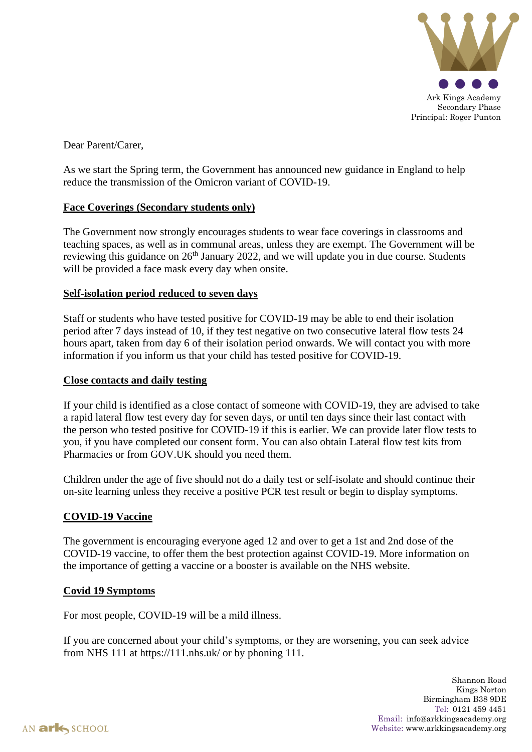

Dear Parent/Carer,

As we start the Spring term, the Government has announced new guidance in England to help reduce the transmission of the Omicron variant of COVID-19.

### **Face Coverings (Secondary students only)**

The Government now strongly encourages students to wear face coverings in classrooms and teaching spaces, as well as in communal areas, unless they are exempt. The Government will be reviewing this guidance on  $26<sup>th</sup>$  January 2022, and we will update you in due course. Students will be provided a face mask every day when onsite.

## **Self-isolation period reduced to seven days**

Staff or students who have tested positive for COVID-19 may be able to end their isolation period after 7 days instead of 10, if they test negative on two consecutive lateral flow tests 24 hours apart, taken from day 6 of their isolation period onwards. We will contact you with more information if you inform us that your child has tested positive for COVID-19.

### **Close contacts and daily testing**

If your child is identified as a close contact of someone with COVID-19, they are advised to take a rapid lateral flow test every day for seven days, or until ten days since their last contact with the person who tested positive for COVID-19 if this is earlier. We can provide later flow tests to you, if you have completed our consent form. You can also obtain Lateral flow test kits from Pharmacies or from GOV.UK should you need them.

Children under the age of five should not do a daily test or self-isolate and should continue their on-site learning unless they receive a positive PCR test result or begin to display symptoms.

# **COVID-19 Vaccine**

The government is encouraging everyone aged 12 and over to get a 1st and 2nd dose of the COVID-19 vaccine, to offer them the best protection against COVID-19. More information on the importance of getting a vaccine or a booster is available on the NHS website.

### **Covid 19 Symptoms**

For most people, COVID-19 will be a mild illness.

If you are concerned about your child's symptoms, or they are worsening, you can seek advice from NHS 111 at https://111.nhs.uk/ or by phoning 111.